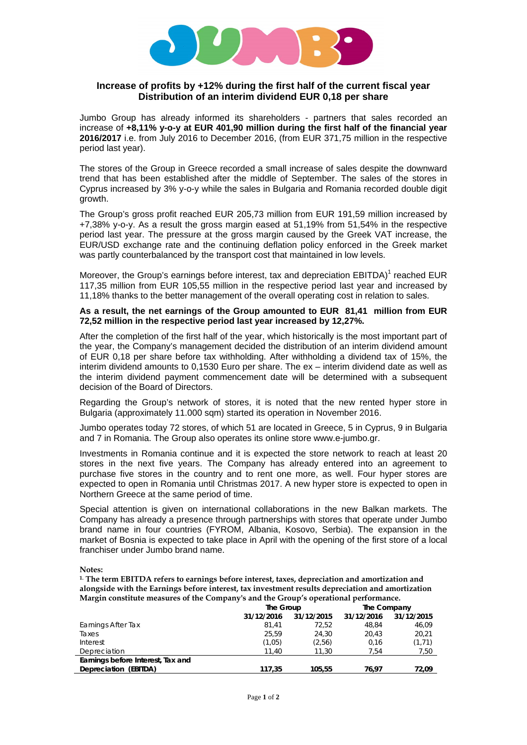

## **Increase of profits by +12% during the first half of the current fiscal year Distribution of an interim dividend EUR 0,18 per share**

Jumbo Group has already informed its shareholders - partners that sales recorded an increase of **+8,11% y-o-y at EUR 401,90 million during the first half of the financial year 2016/2017** i.e. from July 2016 to December 2016, (from EUR 371,75 million in the respective period last year).

The stores of the Group in Greece recorded a small increase of sales despite the downward trend that has been established after the middle of September. The sales of the stores in Cyprus increased by 3% y-o-y while the sales in Bulgaria and Romania recorded double digit growth.

The Group's gross profit reached EUR 205,73 million from EUR 191,59 million increased by +7,38% y-o-y. As a result the gross margin eased at 51,19% from 51,54% in the respective period last year. The pressure at the gross margin caused by the Greek VAT increase, the EUR/USD exchange rate and the continuing deflation policy enforced in the Greek market was partly counterbalanced by the transport cost that maintained in low levels.

Moreover, the Group's earnings before interest, tax and depreciation  $EBITDA$ <sup>1</sup> reached  $EUR$ 117,35 million from EUR 105,55 million in the respective period last year and increased by 11,18% thanks to the better management of the overall operating cost in relation to sales.

## **As a result, the net earnings of the Group amounted to EUR 81,41 million from EUR 72,52 million in the respective period last year increased by 12,27%.**

After the completion of the first half of the year, which historically is the most important part of the year, the Company's management decided the distribution of an interim dividend amount of EUR 0,18 per share before tax withholding. After withholding a dividend tax of 15%, the interim dividend amounts to 0,1530 Euro per share. The ex – interim dividend date as well as the interim dividend payment commencement date will be determined with a subsequent decision of the Board of Directors.

Regarding the Group's network of stores, it is noted that the new rented hyper store in Bulgaria (approximately 11.000 sqm) started its operation in November 2016.

Jumbo operates today 72 stores, of which 51 are located in Greece, 5 in Cyprus, 9 in Bulgaria and 7 in Romania. The Group also operates its online store www.e-jumbo.gr.

Investments in Romania continue and it is expected the store network to reach at least 20 stores in the next five years. The Company has already entered into an agreement to purchase five stores in the country and to rent one more, as well. Four hyper stores are expected to open in Romania until Christmas 2017. A new hyper store is expected to open in Northern Greece at the same period of time.

Special attention is given on international collaborations in the new Balkan markets. The Company has already a presence through partnerships with stores that operate under Jumbo brand name in four countries (FYROM, Albania, Kosovo, Serbia). The expansion in the market of Bosnia is expected to take place in April with the opening of the first store of a local franchiser under Jumbo brand name.

**Notes:** 

**1. The term EBITDA refers to earnings before interest, taxes, depreciation and amortization and alongside with the Earnings before interest, tax investment results depreciation and amortization Margin constitute measures of the Company's and the Group's operational performance.** 

|                                   | The Group  |            | The Company |            |
|-----------------------------------|------------|------------|-------------|------------|
|                                   | 31/12/2016 | 31/12/2015 | 31/12/2016  | 31/12/2015 |
| Earnings After Tax                | 81.41      | 72.52      | 48.84       | 46,09      |
| Taxes                             | 25.59      | 24.30      | 20.43       | 20,21      |
| Interest                          | (1,05)     | (2,56)     | 0.16        | (1, 71)    |
| Depreciation                      | 11.40      | 11.30      | 7.54        | 7,50       |
| Earnings before Interest, Tax and |            |            |             |            |
| Depreciation (EBITDA)             | 117.35     | 105,55     | 76.97       | 72.09      |